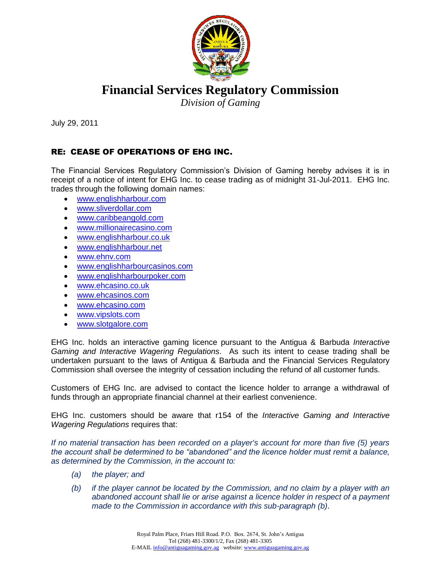

**Financial Services Regulatory Commission**

*Division of Gaming*

July 29, 2011

## RE: CEASE OF OPERATIONS OF EHG INC.

The Financial Services Regulatory Commission's Division of Gaming hereby advises it is in receipt of a notice of intent for EHG Inc. to cease trading as of midnight 31-Jul-2011. EHG Inc. trades through the following domain names:

- [www.englishharbour.com](http://www.englishharbour.com/)
- [www.sliverdollar.com](http://www.sliverdollar.com/)
- [www.caribbeangold.com](http://www.caribbeangold.com/)
- [www.millionairecasino.com](http://www.millionairecasino.com/)
- [www.englishharbour.co.uk](http://www.englishharbour.co.uk/)
- [www.englishharbour.net](http://www.englishharbour.net/)
- [www.ehnv.com](http://www.ehnv.com/)
- [www.englishharbourcasinos.com](http://www.englishharbourcasinos.com/)
- [www.englishharbourpoker.com](http://www.englishharbourpoker.com/)
- [www.ehcasino.co.uk](http://www.ehcasino.co.uk/)
- [www.ehcasinos.com](http://www.ehcasinos.com/)
- [www.ehcasino.com](http://www.ehcasino.com/)
- [www.vipslots.com](http://www.vipslots.com/)
- [www.slotgalore.com](http://www.slotgalore.com/)

EHG Inc. holds an interactive gaming licence pursuant to the Antigua & Barbuda *Interactive Gaming and Interactive Wagering Regulations*. As such its intent to cease trading shall be undertaken pursuant to the laws of Antigua & Barbuda and the Financial Services Regulatory Commission shall oversee the integrity of cessation including the refund of all customer funds.

Customers of EHG Inc. are advised to contact the licence holder to arrange a withdrawal of funds through an appropriate financial channel at their earliest convenience.

EHG Inc. customers should be aware that r154 of the *Interactive Gaming and Interactive Wagering Regulations* requires that:

*If no material transaction has been recorded on a player's account for more than five (5) years the account shall be determined to be "abandoned" and the licence holder must remit a balance, as determined by the Commission, in the account to:*

- *(a) the player; and*
- *(b) if the player cannot be located by the Commission, and no claim by a player with an abandoned account shall lie or arise against a licence holder in respect of a payment made to the Commission in accordance with this sub-paragraph (b)*.